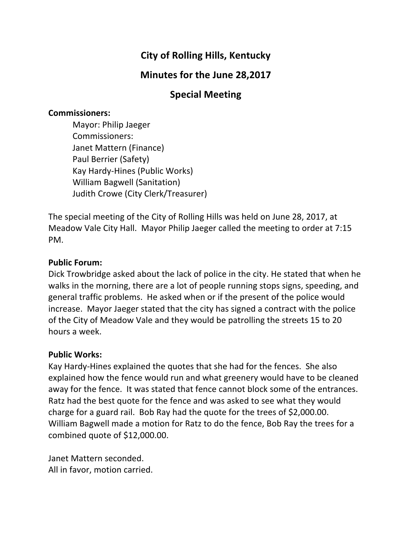# **City of Rolling Hills, Kentucky**

# **Minutes for the June 28,2017**

### **Special Meeting**

#### **Commissioners:**

Mayor: Philip Jaeger Commissioners: Janet Mattern (Finance) Paul Berrier (Safety) Kay Hardy-Hines (Public Works) William Bagwell (Sanitation) Judith Crowe (City Clerk/Treasurer)

The special meeting of the City of Rolling Hills was held on June 28, 2017, at Meadow Vale City Hall. Mayor Philip Jaeger called the meeting to order at 7:15 PM.

#### **Public Forum:**

Dick Trowbridge asked about the lack of police in the city. He stated that when he walks in the morning, there are a lot of people running stops signs, speeding, and general traffic problems. He asked when or if the present of the police would increase. Mayor Jaeger stated that the city has signed a contract with the police of the City of Meadow Vale and they would be patrolling the streets 15 to 20 hours a week.

#### **Public Works:**

Kay Hardy-Hines explained the quotes that she had for the fences. She also explained how the fence would run and what greenery would have to be cleaned away for the fence. It was stated that fence cannot block some of the entrances. Ratz had the best quote for the fence and was asked to see what they would charge for a guard rail. Bob Ray had the quote for the trees of  $$2,000.00$ . William Bagwell made a motion for Ratz to do the fence, Bob Ray the trees for a combined quote of \$12,000.00.

Janet Mattern seconded. All in favor, motion carried.